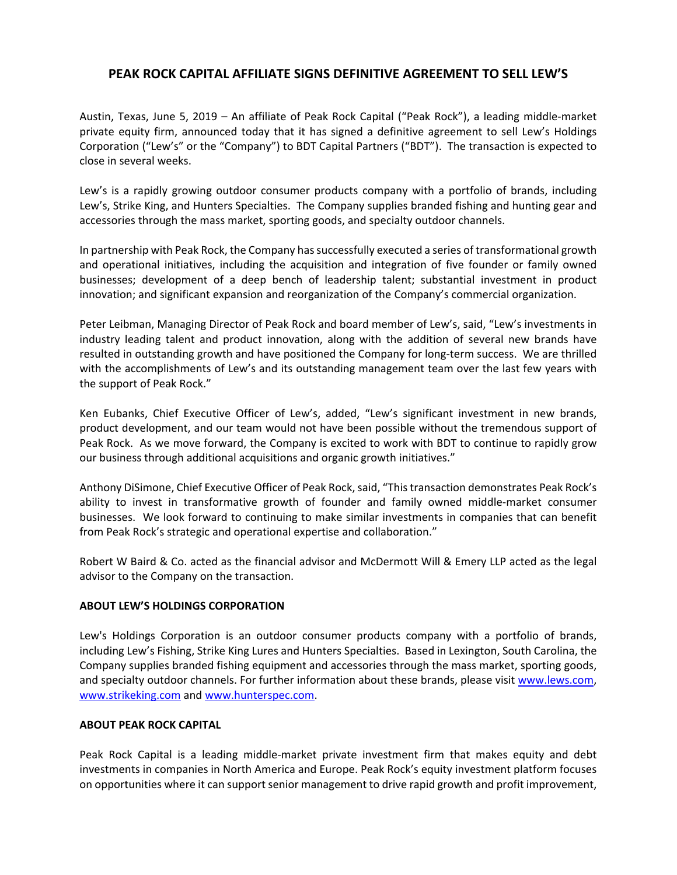## **PEAK ROCK CAPITAL AFFILIATE SIGNS DEFINITIVE AGREEMENT TO SELL LEW'S**

Austin, Texas, June 5, 2019 – An affiliate of Peak Rock Capital ("Peak Rock"), a leading middle‐market private equity firm, announced today that it has signed a definitive agreement to sell Lew's Holdings Corporation ("Lew's" or the "Company") to BDT Capital Partners ("BDT"). The transaction is expected to close in several weeks.

Lew's is a rapidly growing outdoor consumer products company with a portfolio of brands, including Lew's, Strike King, and Hunters Specialties. The Company supplies branded fishing and hunting gear and accessories through the mass market, sporting goods, and specialty outdoor channels.

In partnership with Peak Rock, the Company has successfully executed a series of transformational growth and operational initiatives, including the acquisition and integration of five founder or family owned businesses; development of a deep bench of leadership talent; substantial investment in product innovation; and significant expansion and reorganization of the Company's commercial organization.

Peter Leibman, Managing Director of Peak Rock and board member of Lew's, said, "Lew's investments in industry leading talent and product innovation, along with the addition of several new brands have resulted in outstanding growth and have positioned the Company for long-term success. We are thrilled with the accomplishments of Lew's and its outstanding management team over the last few years with the support of Peak Rock."

Ken Eubanks, Chief Executive Officer of Lew's, added, "Lew's significant investment in new brands, product development, and our team would not have been possible without the tremendous support of Peak Rock. As we move forward, the Company is excited to work with BDT to continue to rapidly grow our business through additional acquisitions and organic growth initiatives."

Anthony DiSimone, Chief Executive Officer of Peak Rock, said, "This transaction demonstrates Peak Rock's ability to invest in transformative growth of founder and family owned middle‐market consumer businesses. We look forward to continuing to make similar investments in companies that can benefit from Peak Rock's strategic and operational expertise and collaboration."

Robert W Baird & Co. acted as the financial advisor and McDermott Will & Emery LLP acted as the legal advisor to the Company on the transaction.

## **ABOUT LEW'S HOLDINGS CORPORATION**

Lew's Holdings Corporation is an outdoor consumer products company with a portfolio of brands, including Lew's Fishing, Strike King Lures and Hunters Specialties. Based in Lexington, South Carolina, the Company supplies branded fishing equipment and accessories through the mass market, sporting goods, and specialty outdoor channels. For further information about these brands, please visit www.lews.com, www.strikeking.com and www.hunterspec.com.

## **ABOUT PEAK ROCK CAPITAL**

Peak Rock Capital is a leading middle‐market private investment firm that makes equity and debt investments in companies in North America and Europe. Peak Rock's equity investment platform focuses on opportunities where it can support senior management to drive rapid growth and profit improvement,